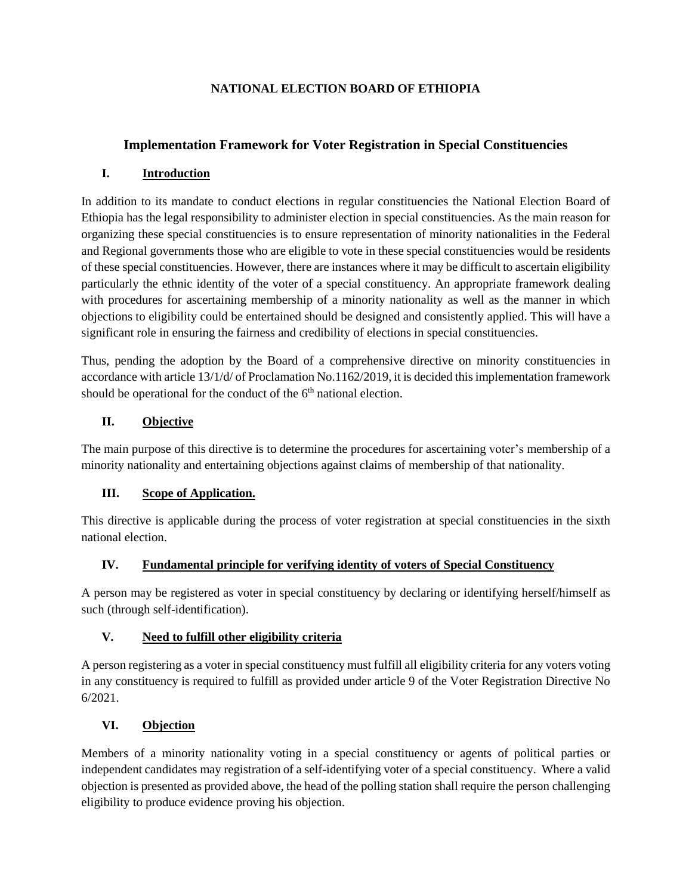### **NATIONAL ELECTION BOARD OF ETHIOPIA**

# **Implementation Framework for Voter Registration in Special Constituencies**

## **I. Introduction**

In addition to its mandate to conduct elections in regular constituencies the National Election Board of Ethiopia has the legal responsibility to administer election in special constituencies. As the main reason for organizing these special constituencies is to ensure representation of minority nationalities in the Federal and Regional governments those who are eligible to vote in these special constituencies would be residents of these special constituencies. However, there are instances where it may be difficult to ascertain eligibility particularly the ethnic identity of the voter of a special constituency. An appropriate framework dealing with procedures for ascertaining membership of a minority nationality as well as the manner in which objections to eligibility could be entertained should be designed and consistently applied. This will have a significant role in ensuring the fairness and credibility of elections in special constituencies.

Thus, pending the adoption by the Board of a comprehensive directive on minority constituencies in accordance with article 13/1/d/ of Proclamation No.1162/2019, it is decided this implementation framework should be operational for the conduct of the  $6<sup>th</sup>$  national election.

### **II. Objective**

The main purpose of this directive is to determine the procedures for ascertaining voter's membership of a minority nationality and entertaining objections against claims of membership of that nationality.

### **III. Scope of Application.**

This directive is applicable during the process of voter registration at special constituencies in the sixth national election.

#### **IV. Fundamental principle for verifying identity of voters of Special Constituency**

A person may be registered as voter in special constituency by declaring or identifying herself/himself as such (through self-identification).

### **V. Need to fulfill other eligibility criteria**

A person registering as a voter in special constituency must fulfill all eligibility criteria for any voters voting in any constituency is required to fulfill as provided under article 9 of the Voter Registration Directive No 6/2021.

### **VI. Objection**

Members of a minority nationality voting in a special constituency or agents of political parties or independent candidates may registration of a self-identifying voter of a special constituency. Where a valid objection is presented as provided above, the head of the polling station shall require the person challenging eligibility to produce evidence proving his objection.